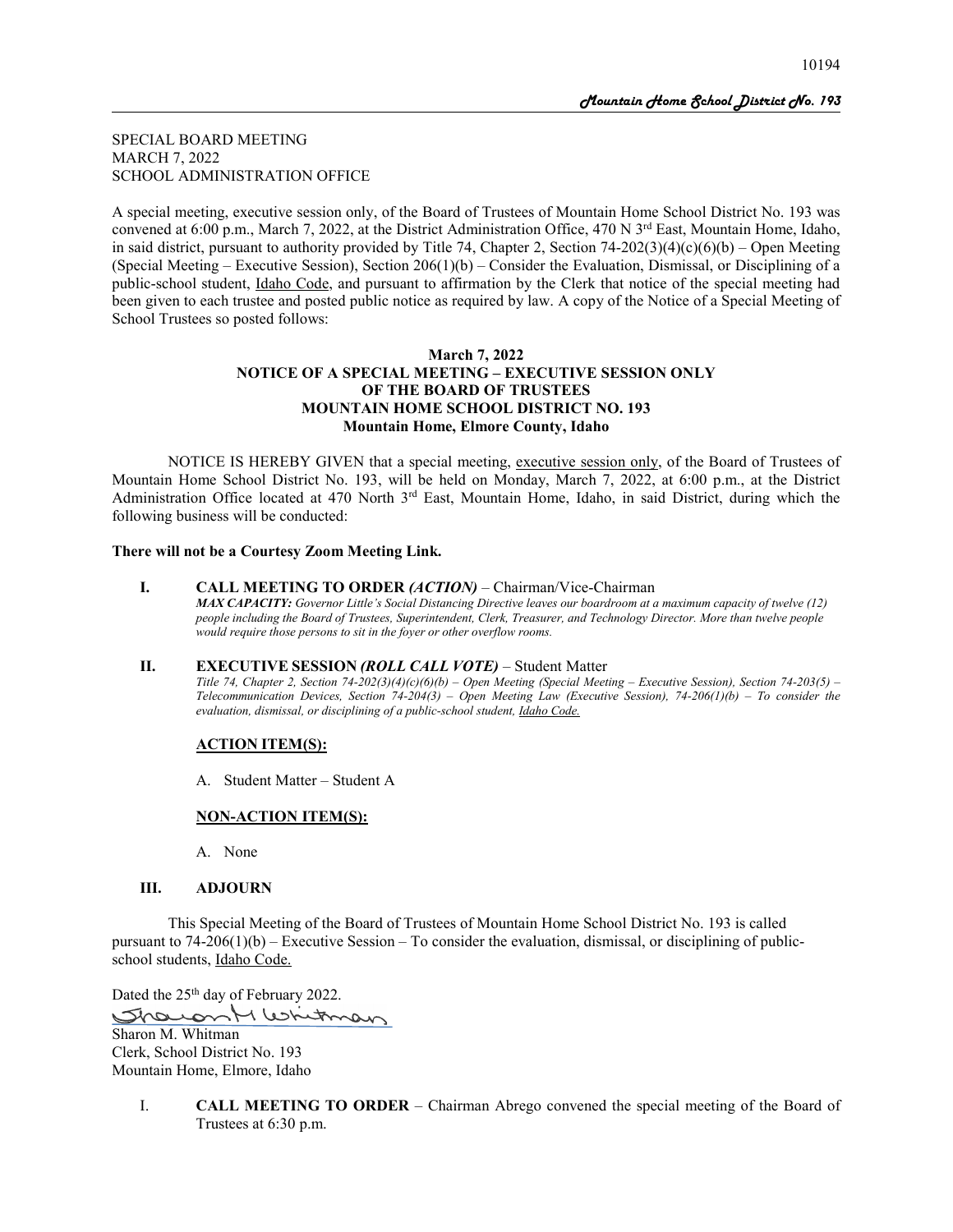SPECIAL BOARD MEETING MARCH 7, 2022 SCHOOL ADMINISTRATION OFFICE

A special meeting, executive session only, of the Board of Trustees of Mountain Home School District No. 193 was convened at 6:00 p.m., March 7, 2022, at the District Administration Office, 470 N 3<sup>rd</sup> East, Mountain Home, Idaho, in said district, pursuant to authority provided by Title 74, Chapter 2, Section 74-202(3)(4)(c)(6)(b) – Open Meeting (Special Meeting – Executive Session), Section  $206(1)(b)$  – Consider the Evaluation, Dismissal, or Disciplining of a public-school student, Idaho Code, and pursuant to affirmation by the Clerk that notice of the special meeting had been given to each trustee and posted public notice as required by law. A copy of the Notice of a Special Meeting of School Trustees so posted follows:

# **March 7, 2022 NOTICE OF A SPECIAL MEETING – EXECUTIVE SESSION ONLY OF THE BOARD OF TRUSTEES MOUNTAIN HOME SCHOOL DISTRICT NO. 193 Mountain Home, Elmore County, Idaho**

NOTICE IS HEREBY GIVEN that a special meeting, executive session only, of the Board of Trustees of Mountain Home School District No. 193, will be held on Monday, March 7, 2022, at 6:00 p.m., at the District Administration Office located at 470 North  $3<sup>rd</sup>$  East, Mountain Home, Idaho, in said District, during which the following business will be conducted:

## **There will not be a Courtesy Zoom Meeting Link.**

#### **I. CALL MEETING TO ORDER** *(ACTION)* – Chairman/Vice-Chairman

*MAX CAPACITY: Governor Little's Social Distancing Directive leaves our boardroom at a maximum capacity of twelve (12) people including the Board of Trustees, Superintendent, Clerk, Treasurer, and Technology Director. More than twelve people would require those persons to sit in the foyer or other overflow rooms.*

#### **II. EXECUTIVE SESSION** *(ROLL CALL VOTE)* – Student Matter

*Title 74, Chapter 2, Section 74-202(3)(4)(c)(6)(b) – Open Meeting (Special Meeting – Executive Session), Section 74-203(5) – Telecommunication Devices, Section 74-204(3) – Open Meeting Law (Executive Session), 74-206(1)(b) – To consider the evaluation, dismissal, or disciplining of a public-school student, Idaho Code.*

#### **ACTION ITEM(S):**

A. Student Matter – Student A

#### **NON-ACTION ITEM(S):**

A. None

#### **III. ADJOURN**

This Special Meeting of the Board of Trustees of Mountain Home School District No. 193 is called pursuant to 74-206(1)(b) – Executive Session – To consider the evaluation, dismissal, or disciplining of publicschool students, Idaho Code.

Dated the 25<sup>th</sup> day of February 2022. Showant Whitman Sharon M. Whitman Clerk, School District No. 193 Mountain Home, Elmore, Idaho

I. **CALL MEETING TO ORDER** – Chairman Abrego convened the special meeting of the Board of Trustees at 6:30 p.m.